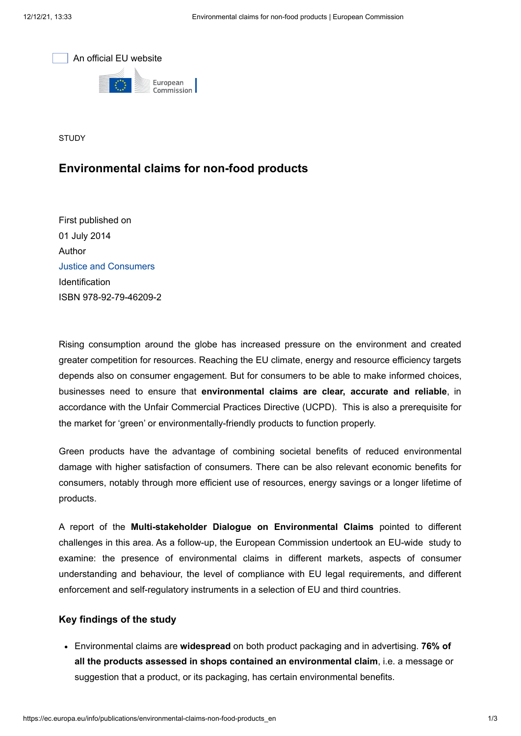



**STUDY** 

## **Environmental claims for non-food products**

First published on 01 July 2014 Author [Justice and Consumers](https://ec.europa.eu/info/departments/justice-and-consumers_en) Identification ISBN 978-92-79-46209-2

Rising consumption around the globe has increased pressure on the environment and created greater competition for resources. Reaching the EU climate, energy and resource efficiency targets depends also on consumer engagement. But for consumers to be able to make informed choices, businesses need to ensure that **environmental claims are clear, accurate and reliable**, in accordance with the Unfair Commercial Practices Directive (UCPD). This is also a prerequisite for the market for 'green' or environmentally-friendly products to function properly.

Green products have the advantage of combining societal benefits of reduced environmental damage with higher satisfaction of consumers. There can be also relevant economic benefits for consumers, notably through more efficient use of resources, energy savings or a longer lifetime of products.

A report of the **Multi-stakeholder Dialogue on Environmental Claims** pointed to different challenges in this area. As a follow-up, the European Commission undertook an EU-wide study to examine: the presence of environmental claims in different markets, aspects of consumer understanding and behaviour, the level of compliance with EU legal requirements, and different enforcement and self-regulatory instruments in a selection of EU and third countries.

## **Key findings of the study**

Environmental claims are **widespread** on both product packaging and in advertising. **76% of all the products assessed in shops contained an environmental claim**, i.e. a message or suggestion that a product, or its packaging, has certain environmental benefits.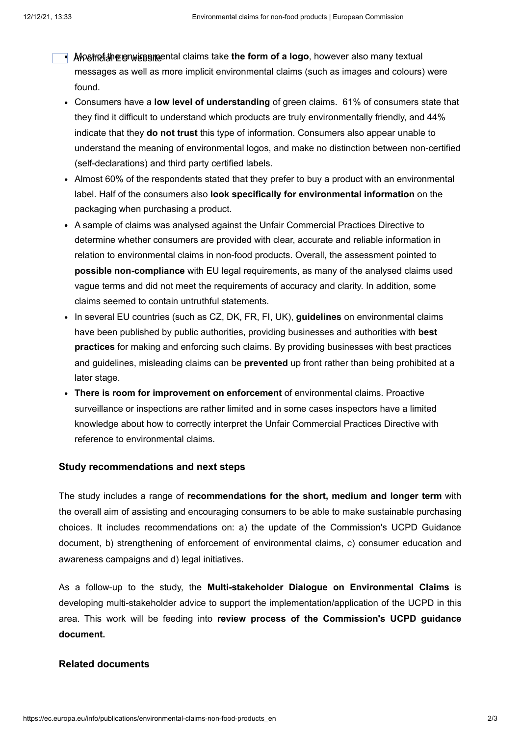- **Alpsfrei**औnegrwieg amental claims take **the form of a logo**, however also many textual messages as well as more implicit environmental claims (such as images and colours) were found.
- Consumers have a **low level of understanding** of green claims. 61% of consumers state that they find it difficult to understand which products are truly environmentally friendly, and 44% indicate that they **do not trust** this type of information. Consumers also appear unable to understand the meaning of environmental logos, and make no distinction between non-certified (self-declarations) and third party certified labels.
- Almost 60% of the respondents stated that they prefer to buy a product with an environmental label. Half of the consumers also **look specifically for environmental information** on the packaging when purchasing a product.
- A sample of claims was analysed against the Unfair Commercial Practices Directive to determine whether consumers are provided with clear, accurate and reliable information in relation to environmental claims in non-food products. Overall, the assessment pointed to **possible non-compliance** with EU legal requirements, as many of the analysed claims used vague terms and did not meet the requirements of accuracy and clarity. In addition, some claims seemed to contain untruthful statements.
- In several EU countries (such as CZ, DK, FR, FI, UK), **guidelines** on environmental claims have been published by public authorities, providing businesses and authorities with **best practices** for making and enforcing such claims. By providing businesses with best practices and guidelines, misleading claims can be **prevented** up front rather than being prohibited at a later stage.
- **There is room for improvement on enforcement** of environmental claims. Proactive surveillance or inspections are rather limited and in some cases inspectors have a limited knowledge about how to correctly interpret the Unfair Commercial Practices Directive with reference to environmental claims.

## **Study recommendations and next steps**

The study includes a range of **recommendations for the short, medium and longer term** with the overall aim of assisting and encouraging consumers to be able to make sustainable purchasing choices. It includes recommendations on: a) the update of the Commission's UCPD Guidance document, b) strengthening of enforcement of environmental claims, c) consumer education and awareness campaigns and d) legal initiatives.

As a follow-up to the study, the **Multi-stakeholder Dialogue on Environmental Claims** is developing multi-stakeholder advice to support the implementation/application of the UCPD in this area. This work will be feeding into **review process of the Commission's UCPD guidance document.**

## **Related documents**